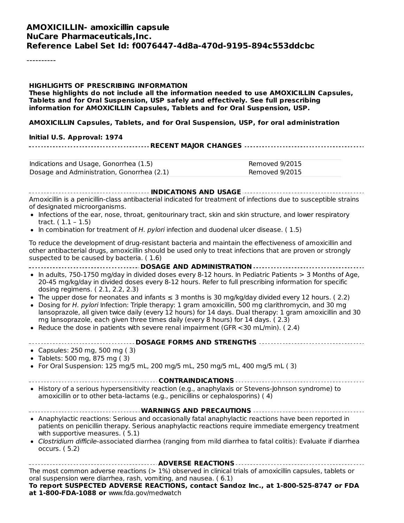#### **AMOXICILLIN- amoxicillin capsule NuCare Pharmaceuticals,Inc. Reference Label Set Id: f0076447-4d8a-470d-9195-894c553ddcbc**

----------

#### **HIGHLIGHTS OF PRESCRIBING INFORMATION**

**These highlights do not include all the information needed to use AMOXICILLIN Capsules, Tablets and for Oral Suspension, USP safely and effectively. See full prescribing information for AMOXICILLIN Capsules, Tablets and for Oral Suspension, USP.**

**AMOXICILLIN Capsules, Tablets, and for Oral Suspension, USP, for oral administration**

#### **Initial U.S. Approval: 1974**

**RECENT MAJOR CHANGES**

| Indications and Usage, Gonorrhea (1.5)     | Removed 9/2015 |
|--------------------------------------------|----------------|
| Dosage and Administration, Gonorrhea (2.1) | Removed 9/2015 |

**INDICATIONS AND USAGE** Amoxicillin is a penicillin-class antibacterial indicated for treatment of infections due to susceptible strains of designated microorganisms.

- Infections of the ear, nose, throat, genitourinary tract, skin and skin structure, and lower respiratory tract. ( 1.1 – 1.5)
- $\bullet$  In combination for treatment of H. pylori infection and duodenal ulcer disease. (1.5)

To reduce the development of drug-resistant bacteria and maintain the effectiveness of amoxicillin and other antibacterial drugs, amoxicillin should be used only to treat infections that are proven or strongly suspected to be caused by bacteria. ( 1.6)

**DOSAGE AND ADMINISTRATION**  $\bullet$  In adults, 750-1750 mg/day in divided doses every 8-12 hours. In Pediatric Patients  $> 3$  Months of Age, 20-45 mg/kg/day in divided doses every 8-12 hours. Refer to full prescribing information for specific dosing regimens. ( 2.1, 2.2, 2.3)

- The upper dose for neonates and infants ≤ 3 months is 30 mg/kg/day divided every 12 hours. ( 2.2)
- Dosing for H. pylori Infection: Triple therapy: 1 gram amoxicillin, 500 mg clarithromycin, and 30 mg lansoprazole, all given twice daily (every 12 hours) for 14 days. Dual therapy: 1 gram amoxicillin and 30 mg lansoprazole, each given three times daily (every 8 hours) for 14 days. ( 2.3)
- Reduce the dose in patients with severe renal impairment (GFR  $<$  30 mL/min). (2.4)
- **DOSAGE FORMS AND STRENGTHS**
- Capsules:  $250 \text{ mg}$ ,  $500 \text{ mg}$  (3)
- Tablets: 500 mg, 875 mg ( 3)
- For Oral Suspension: 125 mg/5 mL, 200 mg/5 mL, 250 mg/5 mL, 400 mg/5 mL ( 3)

**CONTRAINDICATIONS**

- History of a serious hypersensitivity reaction (e.g., anaphylaxis or Stevens-Johnson syndrome) to amoxicillin or to other beta-lactams (e.g., penicillins or cephalosporins) ( 4)
- **WARNINGS AND PRECAUTIONS**
- Anaphylactic reactions: Serious and occasionally fatal anaphylactic reactions have been reported in patients on penicillin therapy. Serious anaphylactic reactions require immediate emergency treatment with supportive measures. ( 5.1)
- Clostridium difficile-associated diarrhea (ranging from mild diarrhea to fatal colitis): Evaluate if diarrhea occurs. ( 5.2)

**ADVERSE REACTIONS** The most common adverse reactions  $(> 1\%)$  observed in clinical trials of amoxicillin capsules, tablets or oral suspension were diarrhea, rash, vomiting, and nausea. ( 6.1) **To report SUSPECTED ADVERSE REACTIONS, contact Sandoz Inc., at 1-800-525-8747 or FDA at 1-800-FDA-1088 or** www.fda.gov/medwatch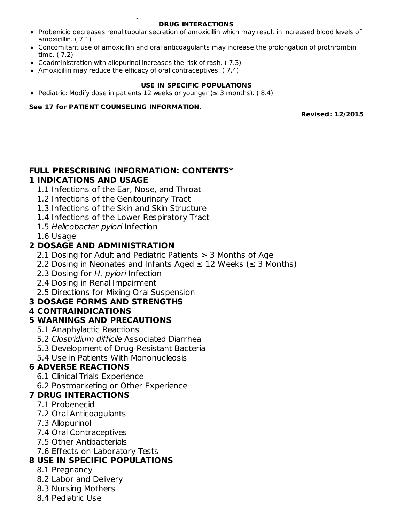- **DRUG INTERACTIONS**
- Probenicid decreases renal tubular secretion of amoxicillin which may result in increased blood levels of amoxicillin. ( 7.1)
- Concomitant use of amoxicillin and oral anticoagulants may increase the prolongation of prothrombin time. ( 7.2)
- Coadministration with allopurinol increases the risk of rash. ( 7.3)
- Amoxicillin may reduce the efficacy of oral contraceptives. ( 7.4)
- **USE IN SPECIFIC POPULATIONS**
- Pediatric: Modify dose in patients 12 weeks or younger ( $\leq$  3 months). (8.4)

#### **See 17 for PATIENT COUNSELING INFORMATION.**

**at 1-800-FDA-1088 or** www.fda.gov/medwatch

**Revised: 12/2015**

#### **FULL PRESCRIBING INFORMATION: CONTENTS\***

#### **1 INDICATIONS AND USAGE**

- 1.1 Infections of the Ear, Nose, and Throat
- 1.2 Infections of the Genitourinary Tract
- 1.3 Infections of the Skin and Skin Structure
- 1.4 Infections of the Lower Respiratory Tract
- 1.5 Helicobacter pylori Infection
- 1.6 Usage

#### **2 DOSAGE AND ADMINISTRATION**

- 2.1 Dosing for Adult and Pediatric Patients > 3 Months of Age
- 2.2 Dosing in Neonates and Infants Aged  $\leq$  12 Weeks ( $\leq$  3 Months)
- 2.3 Dosing for H. pylori Infection
- 2.4 Dosing in Renal Impairment
- 2.5 Directions for Mixing Oral Suspension

#### **3 DOSAGE FORMS AND STRENGTHS**

#### **4 CONTRAINDICATIONS**

### **5 WARNINGS AND PRECAUTIONS**

- 5.1 Anaphylactic Reactions
- 5.2 Clostridium difficile Associated Diarrhea
- 5.3 Development of Drug-Resistant Bacteria
- 5.4 Use in Patients With Mononucleosis

### **6 ADVERSE REACTIONS**

- 6.1 Clinical Trials Experience
- 6.2 Postmarketing or Other Experience

### **7 DRUG INTERACTIONS**

- 7.1 Probenecid
- 7.2 Oral Anticoagulants
- 7.3 Allopurinol
- 7.4 Oral Contraceptives
- 7.5 Other Antibacterials
- 7.6 Effects on Laboratory Tests

### **8 USE IN SPECIFIC POPULATIONS**

- 8.1 Pregnancy
- 8.2 Labor and Delivery
- 8.3 Nursing Mothers
- 8.4 Pediatric Use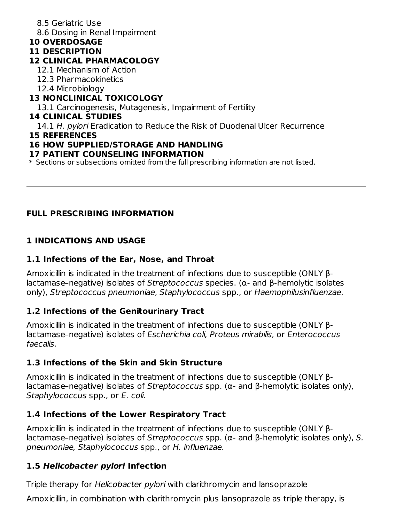- 8.5 Geriatric Use
- 8.6 Dosing in Renal Impairment

# **10 OVERDOSAGE**

# **11 DESCRIPTION**

### **12 CLINICAL PHARMACOLOGY**

- 12.1 Mechanism of Action
- 12.3 Pharmacokinetics
- 12.4 Microbiology

# **13 NONCLINICAL TOXICOLOGY**

13.1 Carcinogenesis, Mutagenesis, Impairment of Fertility

### **14 CLINICAL STUDIES**

14.1 H. pylori Eradication to Reduce the Risk of Duodenal Ulcer Recurrence

**15 REFERENCES**

# **16 HOW SUPPLIED/STORAGE AND HANDLING**

# **17 PATIENT COUNSELING INFORMATION**

 $\ast$  Sections or subsections omitted from the full prescribing information are not listed.

# **FULL PRESCRIBING INFORMATION**

# **1 INDICATIONS AND USAGE**

# **1.1 Infections of the Ear, Nose, and Throat**

Amoxicillin is indicated in the treatment of infections due to susceptible (ONLY βlactamase-negative) isolates of Streptococcus species. ( $\alpha$ - and β-hemolytic isolates only), Streptococcus pneumoniae, Staphylococcus spp., or Haemophilusinfluenzae.

# **1.2 Infections of the Genitourinary Tract**

Amoxicillin is indicated in the treatment of infections due to susceptible (ONLY βlactamase–negative) isolates of Escherichia coli, Proteus mirabilis, or Enterococcus faecalis.

# **1.3 Infections of the Skin and Skin Structure**

Amoxicillin is indicated in the treatment of infections due to susceptible (ONLY βlactamase–negative) isolates of Streptococcus spp. (α- and β-hemolytic isolates only), Staphylococcus spp., or E. coli.

# **1.4 Infections of the Lower Respiratory Tract**

Amoxicillin is indicated in the treatment of infections due to susceptible (ONLY βlactamase-negative) isolates of Streptococcus spp. ( $\alpha$ - and β-hemolytic isolates only), S. pneumoniae, Staphylococcus spp., or H. influenzae.

# **1.5 Helicobacter pylori Infection**

Triple therapy for Helicobacter pylori with clarithromycin and lansoprazole

Amoxicillin, in combination with clarithromycin plus lansoprazole as triple therapy, is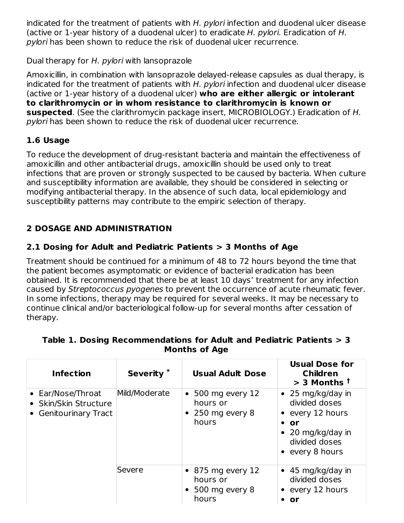indicated for the treatment of patients with H. pylori infection and duodenal ulcer disease (active or 1-year history of a duodenal ulcer) to eradicate H. pylori. Eradication of H. pylori has been shown to reduce the risk of duodenal ulcer recurrence.

Dual therapy for H. pylori with lansoprazole

Amoxicillin, in combination with lansoprazole delayed-release capsules as dual therapy, is indicated for the treatment of patients with H. pylori infection and duodenal ulcer disease (active or 1-year history of a duodenal ulcer) **who are either allergic or intolerant to clarithromycin or in whom resistance to clarithromycin is known or suspected**. (See the clarithromycin package insert, MICROBIOLOGY.) Eradication of H. pylori has been shown to reduce the risk of duodenal ulcer recurrence.

# **1.6 Usage**

To reduce the development of drug-resistant bacteria and maintain the effectiveness of amoxicillin and other antibacterial drugs, amoxicillin should be used only to treat infections that are proven or strongly suspected to be caused by bacteria. When culture and susceptibility information are available, they should be considered in selecting or modifying antibacterial therapy. In the absence of such data, local epidemiology and susceptibility patterns may contribute to the empiric selection of therapy.

# **2 DOSAGE AND ADMINISTRATION**

# **2.1 Dosing for Adult and Pediatric Patients > 3 Months of Age**

Treatment should be continued for a minimum of 48 to 72 hours beyond the time that the patient becomes asymptomatic or evidence of bacterial eradication has been obtained. It is recommended that there be at least 10 days' treatment for any infection caused by Streptococcus pyogenes to prevent the occurrence of acute rheumatic fever. In some infections, therapy may be required for several weeks. It may be necessary to continue clinical and/or bacteriological follow-up for several months after cessation of therapy.

| <b>Infection</b>                                                  | Severity <sup>*</sup> | <b>Usual Adult Dose</b>                                                       | <b>Usual Dose for</b><br><b>Children</b><br>$>$ 3 Months $†$                                                                          |
|-------------------------------------------------------------------|-----------------------|-------------------------------------------------------------------------------|---------------------------------------------------------------------------------------------------------------------------------------|
| • Ear/Nose/Throat<br>Skin/Skin Structure<br>• Genitourinary Tract | Mild/Moderate         | $\bullet$ 500 mg every 12<br>hours or<br>250 mg every 8<br>$\bullet$<br>hours | $\bullet$ 25 mg/kg/day in<br>divided doses<br>• every 12 hours<br>or<br>$\bullet$ 20 mg/kg/day in<br>divided doses<br>• every 8 hours |
|                                                                   | Severe                | $\bullet$ 875 mg every 12<br>hours or<br>$\bullet$ 500 mg every 8<br>hours    | $\bullet$ 45 mg/kg/day in<br>divided doses<br>• every 12 hours<br>or                                                                  |

#### **Table 1. Dosing Recommendations for Adult and Pediatric Patients > 3 Months of Age**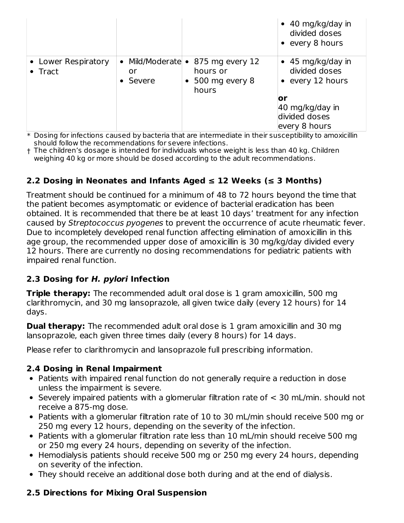|                                        |                                 |                                                        | $\bullet$ 40 mg/kg/day in<br>divided doses<br>• every 8 hours |
|----------------------------------------|---------------------------------|--------------------------------------------------------|---------------------------------------------------------------|
| • Lower Respiratory<br>$\bullet$ Tract | Mild/Moderate •<br>or<br>Severe | 875 mg every 12<br>hours or<br>500 mg every 8<br>hours | $\bullet$ 45 mg/kg/day in<br>divided doses<br>every 12 hours  |
|                                        |                                 |                                                        | or<br>40 mg/kg/day in<br>divided doses<br>every 8 hours       |

 $\ast$  Dosing for infections caused by bacteria that are intermediate in their susceptibility to amoxicillin should follow the recommendations for severe infections.

† The children's dosage is intended for individuals whose weight is less than 40 kg. Children weighing 40 kg or more should be dosed according to the adult recommendations.

# **2.2 Dosing in Neonates and Infants Aged ≤ 12 Weeks (≤ 3 Months)**

Treatment should be continued for a minimum of 48 to 72 hours beyond the time that the patient becomes asymptomatic or evidence of bacterial eradication has been obtained. It is recommended that there be at least 10 days' treatment for any infection caused by Streptococcus pyogenes to prevent the occurrence of acute rheumatic fever. Due to incompletely developed renal function affecting elimination of amoxicillin in this age group, the recommended upper dose of amoxicillin is 30 mg/kg/day divided every 12 hours. There are currently no dosing recommendations for pediatric patients with impaired renal function.

# **2.3 Dosing for H. pylori Infection**

**Triple therapy:** The recommended adult oral dose is 1 gram amoxicillin, 500 mg clarithromycin, and 30 mg lansoprazole, all given twice daily (every 12 hours) for 14 days.

**Dual therapy:** The recommended adult oral dose is 1 gram amoxicillin and 30 mg lansoprazole, each given three times daily (every 8 hours) for 14 days.

Please refer to clarithromycin and lansoprazole full prescribing information.

### **2.4 Dosing in Renal Impairment**

- Patients with impaired renal function do not generally require a reduction in dose unless the impairment is severe.
- Severely impaired patients with a glomerular filtration rate of  $<$  30 mL/min. should not receive a 875-mg dose.
- Patients with a glomerular filtration rate of 10 to 30 mL/min should receive 500 mg or 250 mg every 12 hours, depending on the severity of the infection.
- Patients with a glomerular filtration rate less than 10 mL/min should receive 500 mg or 250 mg every 24 hours, depending on severity of the infection.
- Hemodialysis patients should receive 500 mg or 250 mg every 24 hours, depending on severity of the infection.
- They should receive an additional dose both during and at the end of dialysis.

# **2.5 Directions for Mixing Oral Suspension**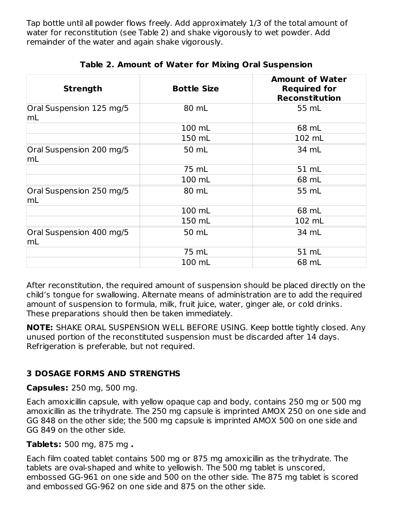Tap bottle until all powder flows freely. Add approximately 1/3 of the total amount of water for reconstitution (see Table 2) and shake vigorously to wet powder. Add remainder of the water and again shake vigorously.

| <b>Strength</b>                | <b>Bottle Size</b> | <b>Amount of Water</b><br><b>Required for</b><br><b>Reconstitution</b> |
|--------------------------------|--------------------|------------------------------------------------------------------------|
| Oral Suspension 125 mg/5<br>mL | 80 mL              | 55 mL                                                                  |
|                                | 100 mL             | 68 mL                                                                  |
|                                | 150 mL             | 102 mL                                                                 |
| Oral Suspension 200 mg/5<br>mL | 50 mL              | 34 mL                                                                  |
|                                | 75 mL              | 51 mL                                                                  |
|                                | 100 mL             | 68 mL                                                                  |
| Oral Suspension 250 mg/5<br>mL | 80 mL              | 55 mL                                                                  |
|                                | 100 mL             | 68 mL                                                                  |
|                                | 150 mL             | 102 mL                                                                 |
| Oral Suspension 400 mg/5<br>mL | 50 mL              | 34 mL                                                                  |
|                                | 75 mL              | 51 mL                                                                  |
|                                | 100 mL             | 68 mL                                                                  |

### **Table 2. Amount of Water for Mixing Oral Suspension**

After reconstitution, the required amount of suspension should be placed directly on the child's tongue for swallowing. Alternate means of administration are to add the required amount of suspension to formula, milk, fruit juice, water, ginger ale, or cold drinks. These preparations should then be taken immediately.

**NOTE:** SHAKE ORAL SUSPENSION WELL BEFORE USING. Keep bottle tightly closed. Any unused portion of the reconstituted suspension must be discarded after 14 days. Refrigeration is preferable, but not required.

# **3 DOSAGE FORMS AND STRENGTHS**

### **Capsules:** 250 mg, 500 mg.

Each amoxicillin capsule, with yellow opaque cap and body, contains 250 mg or 500 mg amoxicillin as the trihydrate. The 250 mg capsule is imprinted AMOX 250 on one side and GG 848 on the other side; the 500 mg capsule is imprinted AMOX 500 on one side and GG 849 on the other side.

**Tablets:** 500 mg, 875 mg **.**

Each film coated tablet contains 500 mg or 875 mg amoxicillin as the trihydrate. The tablets are oval-shaped and white to yellowish. The 500 mg tablet is unscored, embossed GG-961 on one side and 500 on the other side. The 875 mg tablet is scored and embossed GG-962 on one side and 875 on the other side.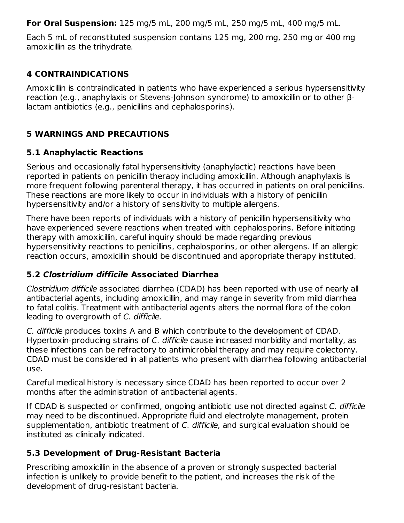**For Oral Suspension:** 125 mg/5 mL, 200 mg/5 mL, 250 mg/5 mL, 400 mg/5 mL.

Each 5 mL of reconstituted suspension contains 125 mg, 200 mg, 250 mg or 400 mg amoxicillin as the trihydrate.

### **4 CONTRAINDICATIONS**

Amoxicillin is contraindicated in patients who have experienced a serious hypersensitivity reaction (e.g., anaphylaxis or Stevens-Johnson syndrome) to amoxicillin or to other βlactam antibiotics (e.g., penicillins and cephalosporins).

### **5 WARNINGS AND PRECAUTIONS**

### **5.1 Anaphylactic Reactions**

Serious and occasionally fatal hypersensitivity (anaphylactic) reactions have been reported in patients on penicillin therapy including amoxicillin. Although anaphylaxis is more frequent following parenteral therapy, it has occurred in patients on oral penicillins. These reactions are more likely to occur in individuals with a history of penicillin hypersensitivity and/or a history of sensitivity to multiple allergens.

There have been reports of individuals with a history of penicillin hypersensitivity who have experienced severe reactions when treated with cephalosporins. Before initiating therapy with amoxicillin, careful inquiry should be made regarding previous hypersensitivity reactions to penicillins, cephalosporins, or other allergens. If an allergic reaction occurs, amoxicillin should be discontinued and appropriate therapy instituted.

### **5.2 Clostridium difficile Associated Diarrhea**

Clostridium difficile associated diarrhea (CDAD) has been reported with use of nearly all antibacterial agents, including amoxicillin, and may range in severity from mild diarrhea to fatal colitis. Treatment with antibacterial agents alters the normal flora of the colon leading to overgrowth of C. difficile.

C. difficile produces toxins A and B which contribute to the development of CDAD. Hypertoxin-producing strains of C. difficile cause increased morbidity and mortality, as these infections can be refractory to antimicrobial therapy and may require colectomy. CDAD must be considered in all patients who present with diarrhea following antibacterial use.

Careful medical history is necessary since CDAD has been reported to occur over 2 months after the administration of antibacterial agents.

If CDAD is suspected or confirmed, ongoing antibiotic use not directed against C. difficile may need to be discontinued. Appropriate fluid and electrolyte management, protein supplementation, antibiotic treatment of C. difficile, and surgical evaluation should be instituted as clinically indicated.

### **5.3 Development of Drug-Resistant Bacteria**

Prescribing amoxicillin in the absence of a proven or strongly suspected bacterial infection is unlikely to provide benefit to the patient, and increases the risk of the development of drug-resistant bacteria.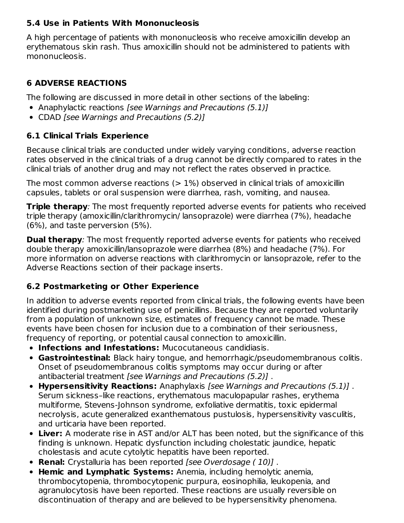### **5.4 Use in Patients With Mononucleosis**

A high percentage of patients with mononucleosis who receive amoxicillin develop an erythematous skin rash. Thus amoxicillin should not be administered to patients with mononucleosis.

# **6 ADVERSE REACTIONS**

The following are discussed in more detail in other sections of the labeling:

- Anaphylactic reactions [see Warnings and Precautions (5.1)]
- CDAD *[see Warnings and Precautions (5.2)]*

### **6.1 Clinical Trials Experience**

Because clinical trials are conducted under widely varying conditions, adverse reaction rates observed in the clinical trials of a drug cannot be directly compared to rates in the clinical trials of another drug and may not reflect the rates observed in practice.

The most common adverse reactions  $(>1\%)$  observed in clinical trials of amoxicillin capsules, tablets or oral suspension were diarrhea, rash, vomiting, and nausea.

**Triple therapy**: The most frequently reported adverse events for patients who received triple therapy (amoxicillin/clarithromycin/ lansoprazole) were diarrhea (7%), headache (6%), and taste perversion (5%).

**Dual therapy**: The most frequently reported adverse events for patients who received double therapy amoxicillin/lansoprazole were diarrhea (8%) and headache (7%). For more information on adverse reactions with clarithromycin or lansoprazole, refer to the Adverse Reactions section of their package inserts.

### **6.2 Postmarketing or Other Experience**

In addition to adverse events reported from clinical trials, the following events have been identified during postmarketing use of penicillins. Because they are reported voluntarily from a population of unknown size, estimates of frequency cannot be made. These events have been chosen for inclusion due to a combination of their seriousness, frequency of reporting, or potential causal connection to amoxicillin.

- **Infections and Infestations:** Mucocutaneous candidiasis.
- **Gastrointestinal:** Black hairy tongue, and hemorrhagic/pseudomembranous colitis. Onset of pseudomembranous colitis symptoms may occur during or after antibacterial treatment [see Warnings and Precautions (5.2)] .
- **Hypersensitivity Reactions:** Anaphylaxis [see Warnings and Precautions (5.1)] . Serum sickness–like reactions, erythematous maculopapular rashes, erythema multiforme, Stevens-Johnson syndrome, exfoliative dermatitis, toxic epidermal necrolysis, acute generalized exanthematous pustulosis, hypersensitivity vasculitis, and urticaria have been reported.
- **Liver:** A moderate rise in AST and/or ALT has been noted, but the significance of this finding is unknown. Hepatic dysfunction including cholestatic jaundice, hepatic cholestasis and acute cytolytic hepatitis have been reported.
- **Renal:** Crystalluria has been reported [see Overdosage ( 10)] .
- **Hemic and Lymphatic Systems:** Anemia, including hemolytic anemia, thrombocytopenia, thrombocytopenic purpura, eosinophilia, leukopenia, and agranulocytosis have been reported. These reactions are usually reversible on discontinuation of therapy and are believed to be hypersensitivity phenomena.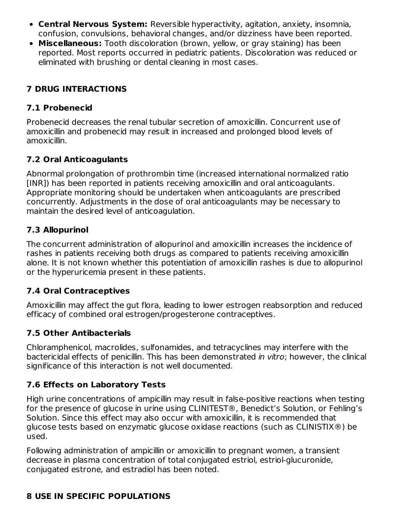- **Central Nervous System:** Reversible hyperactivity, agitation, anxiety, insomnia, confusion, convulsions, behavioral changes, and/or dizziness have been reported.
- **Miscellaneous:** Tooth discoloration (brown, yellow, or gray staining) has been reported. Most reports occurred in pediatric patients. Discoloration was reduced or eliminated with brushing or dental cleaning in most cases.

# **7 DRUG INTERACTIONS**

# **7.1 Probenecid**

Probenecid decreases the renal tubular secretion of amoxicillin. Concurrent use of amoxicillin and probenecid may result in increased and prolonged blood levels of amoxicillin.

# **7.2 Oral Anticoagulants**

Abnormal prolongation of prothrombin time (increased international normalized ratio [INR]) has been reported in patients receiving amoxicillin and oral anticoagulants. Appropriate monitoring should be undertaken when anticoagulants are prescribed concurrently. Adjustments in the dose of oral anticoagulants may be necessary to maintain the desired level of anticoagulation.

# **7.3 Allopurinol**

The concurrent administration of allopurinol and amoxicillin increases the incidence of rashes in patients receiving both drugs as compared to patients receiving amoxicillin alone. It is not known whether this potentiation of amoxicillin rashes is due to allopurinol or the hyperuricemia present in these patients.

# **7.4 Oral Contraceptives**

Amoxicillin may affect the gut flora, leading to lower estrogen reabsorption and reduced efficacy of combined oral estrogen/progesterone contraceptives.

# **7.5 Other Antibacterials**

Chloramphenicol, macrolides, sulfonamides, and tetracyclines may interfere with the bactericidal effects of penicillin. This has been demonstrated in vitro; however, the clinical significance of this interaction is not well documented.

# **7.6 Effects on Laboratory Tests**

High urine concentrations of ampicillin may result in false-positive reactions when testing for the presence of glucose in urine using CLINITEST®, Benedict's Solution, or Fehling's Solution. Since this effect may also occur with amoxicillin, it is recommended that glucose tests based on enzymatic glucose oxidase reactions (such as CLINISTIX®) be used.

Following administration of ampicillin or amoxicillin to pregnant women, a transient decrease in plasma concentration of total conjugated estriol, estriol-glucuronide, conjugated estrone, and estradiol has been noted.

# **8 USE IN SPECIFIC POPULATIONS**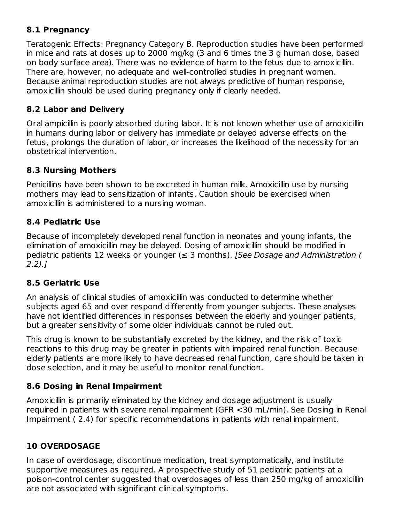### **8.1 Pregnancy**

Teratogenic Effects: Pregnancy Category B. Reproduction studies have been performed in mice and rats at doses up to 2000 mg/kg (3 and 6 times the 3 g human dose, based on body surface area). There was no evidence of harm to the fetus due to amoxicillin. There are, however, no adequate and well-controlled studies in pregnant women. Because animal reproduction studies are not always predictive of human response, amoxicillin should be used during pregnancy only if clearly needed.

# **8.2 Labor and Delivery**

Oral ampicillin is poorly absorbed during labor. It is not known whether use of amoxicillin in humans during labor or delivery has immediate or delayed adverse effects on the fetus, prolongs the duration of labor, or increases the likelihood of the necessity for an obstetrical intervention.

# **8.3 Nursing Mothers**

Penicillins have been shown to be excreted in human milk. Amoxicillin use by nursing mothers may lead to sensitization of infants. Caution should be exercised when amoxicillin is administered to a nursing woman.

# **8.4 Pediatric Use**

Because of incompletely developed renal function in neonates and young infants, the elimination of amoxicillin may be delayed. Dosing of amoxicillin should be modified in pediatric patients 12 weeks or younger ( $\leq$  3 months). [See Dosage and Administration ( 2.2).]

# **8.5 Geriatric Use**

An analysis of clinical studies of amoxicillin was conducted to determine whether subjects aged 65 and over respond differently from younger subjects. These analyses have not identified differences in responses between the elderly and younger patients, but a greater sensitivity of some older individuals cannot be ruled out.

This drug is known to be substantially excreted by the kidney, and the risk of toxic reactions to this drug may be greater in patients with impaired renal function. Because elderly patients are more likely to have decreased renal function, care should be taken in dose selection, and it may be useful to monitor renal function.

# **8.6 Dosing in Renal Impairment**

Amoxicillin is primarily eliminated by the kidney and dosage adjustment is usually required in patients with severe renal impairment (GFR <30 mL/min). See Dosing in Renal Impairment ( 2.4) for specific recommendations in patients with renal impairment.

# **10 OVERDOSAGE**

In case of overdosage, discontinue medication, treat symptomatically, and institute supportive measures as required. A prospective study of 51 pediatric patients at a poison-control center suggested that overdosages of less than 250 mg/kg of amoxicillin are not associated with significant clinical symptoms.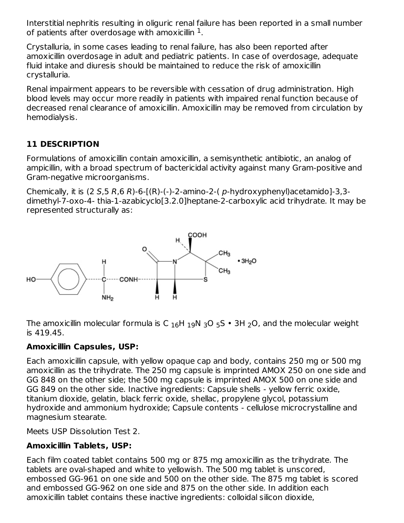Interstitial nephritis resulting in oliguric renal failure has been reported in a small number of patients after overdosage with amoxicillin  $^1$ .

Crystalluria, in some cases leading to renal failure, has also been reported after amoxicillin overdosage in adult and pediatric patients. In case of overdosage, adequate fluid intake and diuresis should be maintained to reduce the risk of amoxicillin crystalluria.

Renal impairment appears to be reversible with cessation of drug administration. High blood levels may occur more readily in patients with impaired renal function because of decreased renal clearance of amoxicillin. Amoxicillin may be removed from circulation by hemodialysis.

# **11 DESCRIPTION**

Formulations of amoxicillin contain amoxicillin, a semisynthetic antibiotic, an analog of ampicillin, with a broad spectrum of bactericidal activity against many Gram-positive and Gram-negative microorganisms.

Chemically, it is  $(2 S, 5 R, 6 R)$ -6- $[(R)$ - $(-)$ -2-amino-2- $(p-hydroxyphenyl)$ acetamido]-3,3dimethyl-7-oxo-4- thia-1-azabicyclo[3.2.0]heptane-2-carboxylic acid trihydrate. It may be represented structurally as:



The amoxicillin molecular formula is C  $_{16}$ H  $_{19}$ N  $_{3}$ O  $_{5}$ S  $\bullet$  3H  $_{2}$ O, and the molecular weight is 419.45.

#### **Amoxicillin Capsules, USP:**

Each amoxicillin capsule, with yellow opaque cap and body, contains 250 mg or 500 mg amoxicillin as the trihydrate. The 250 mg capsule is imprinted AMOX 250 on one side and GG 848 on the other side; the 500 mg capsule is imprinted AMOX 500 on one side and GG 849 on the other side. Inactive ingredients: Capsule shells - yellow ferric oxide, titanium dioxide, gelatin, black ferric oxide, shellac, propylene glycol, potassium hydroxide and ammonium hydroxide; Capsule contents - cellulose microcrystalline and magnesium stearate.

Meets USP Dissolution Test 2.

### **Amoxicillin Tablets, USP:**

Each film coated tablet contains 500 mg or 875 mg amoxicillin as the trihydrate. The tablets are oval-shaped and white to yellowish. The 500 mg tablet is unscored, embossed GG-961 on one side and 500 on the other side. The 875 mg tablet is scored and embossed GG-962 on one side and 875 on the other side. In addition each amoxicillin tablet contains these inactive ingredients: colloidal silicon dioxide,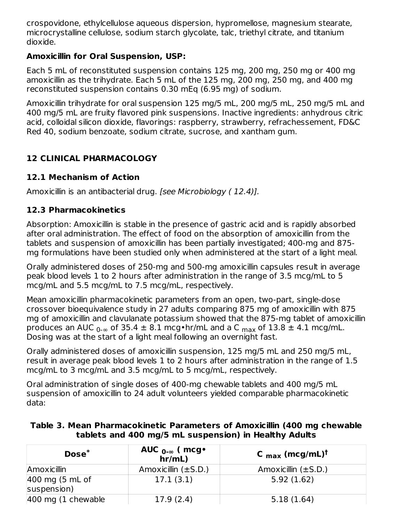crospovidone, ethylcellulose aqueous dispersion, hypromellose, magnesium stearate, microcrystalline cellulose, sodium starch glycolate, talc, triethyl citrate, and titanium dioxide.

# **Amoxicillin for Oral Suspension, USP:**

Each 5 mL of reconstituted suspension contains 125 mg, 200 mg, 250 mg or 400 mg amoxicillin as the trihydrate. Each 5 mL of the 125 mg, 200 mg, 250 mg, and 400 mg reconstituted suspension contains 0.30 mEq (6.95 mg) of sodium.

Amoxicillin trihydrate for oral suspension 125 mg/5 mL, 200 mg/5 mL, 250 mg/5 mL and 400 mg/5 mL are fruity flavored pink suspensions. Inactive ingredients: anhydrous citric acid, colloidal silicon dioxide, flavorings: raspberry, strawberry, refrachessement, FD&C Red 40, sodium benzoate, sodium citrate, sucrose, and xantham gum.

# **12 CLINICAL PHARMACOLOGY**

# **12.1 Mechanism of Action**

Amoxicillin is an antibacterial drug. [see Microbiology ( 12.4)].

# **12.3 Pharmacokinetics**

Absorption: Amoxicillin is stable in the presence of gastric acid and is rapidly absorbed after oral administration. The effect of food on the absorption of amoxicillin from the tablets and suspension of amoxicillin has been partially investigated; 400-mg and 875 mg formulations have been studied only when administered at the start of a light meal.

Orally administered doses of 250-mg and 500-mg amoxicillin capsules result in average peak blood levels 1 to 2 hours after administration in the range of 3.5 mcg/mL to 5 mcg/mL and 5.5 mcg/mL to 7.5 mcg/mL, respectively.

Mean amoxicillin pharmacokinetic parameters from an open, two-part, single-dose crossover bioequivalence study in 27 adults comparing 875 mg of amoxicillin with 875 mg of amoxicillin and clavulanate potassium showed that the 875-mg tablet of amoxicillin produces an AUC  $_{0-\infty}$  of 35.4  $\pm$  8.1 mcg•hr/mL and a C  $_{\sf max}$  of 13.8  $\pm$  4.1 mcg/mL. Dosing was at the start of a light meal following an overnight fast.

Orally administered doses of amoxicillin suspension, 125 mg/5 mL and 250 mg/5 mL, result in average peak blood levels 1 to 2 hours after administration in the range of 1.5 mcg/mL to 3 mcg/mL and 3.5 mcg/mL to 5 mcg/mL, respectively.

Oral administration of single doses of 400-mg chewable tablets and 400 mg/5 mL suspension of amoxicillin to 24 adult volunteers yielded comparable pharmacokinetic data:

| Table 3. Mean Pharmacokinetic Parameters of Amoxicillin (400 mg chewable |  |
|--------------------------------------------------------------------------|--|
| tablets and 400 mg/5 mL suspension) in Healthy Adults                    |  |

| $Dose^*$                                  | AUC $_{0-\infty}$ (mcg •<br>hr/mL) | C $_{\text{max}}$ (mcg/mL) <sup>†</sup> |
|-------------------------------------------|------------------------------------|-----------------------------------------|
| Amoxicillin                               | Amoxicillin $(\pm S.D.)$           | Amoxicillin $(\pm S.D.)$                |
| $ 400 \text{ mg}$ (5 mL of<br>suspension) | 17.1(3.1)                          | 5.92(1.62)                              |
| $ 400 \text{ mg}$ (1 chewable             | 17.9(2.4)                          | 5.18(1.64)                              |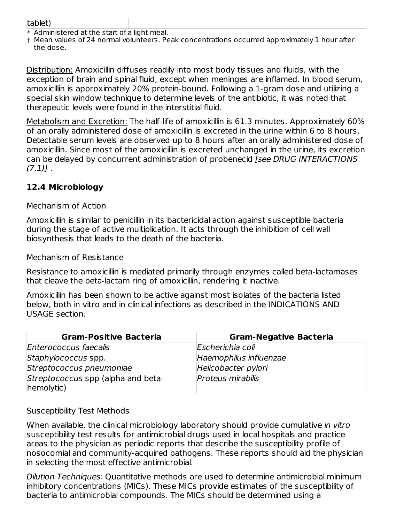| tablet) |
|---------|
|---------|

\* Administered at the start of a light meal.

† Mean values of 24 normal volunteers. Peak concentrations occurred approximately 1 hour after the dose.

Distribution: Amoxicillin diffuses readily into most body tissues and fluids, with the exception of brain and spinal fluid, except when meninges are inflamed. In blood serum, amoxicillin is approximately 20% protein-bound. Following a 1-gram dose and utilizing a special skin window technique to determine levels of the antibiotic, it was noted that therapeutic levels were found in the interstitial fluid.

Metabolism and Excretion: The half-life of amoxicillin is 61.3 minutes. Approximately 60% of an orally administered dose of amoxicillin is excreted in the urine within 6 to 8 hours. Detectable serum levels are observed up to 8 hours after an orally administered dose of amoxicillin. Since most of the amoxicillin is excreted unchanged in the urine, its excretion can be delayed by concurrent administration of probenecid [see DRUG INTERACTIONS  $(7.1)$ .

### **12.4 Microbiology**

#### Mechanism of Action

Amoxicillin is similar to penicillin in its bactericidal action against susceptible bacteria during the stage of active multiplication. It acts through the inhibition of cell wall biosynthesis that leads to the death of the bacteria.

Mechanism of Resistance

Resistance to amoxicillin is mediated primarily through enzymes called beta-lactamases that cleave the beta-lactam ring of amoxicillin, rendering it inactive.

Amoxicillin has been shown to be active against most isolates of the bacteria listed below, both in vitro and in clinical infections as described in the INDICATIONS AND USAGE section.

| <b>Gram-Positive Bacteria</b>                    | <b>Gram-Negative Bacteria</b> |
|--------------------------------------------------|-------------------------------|
| Enterococcus faecalis                            | Escherichia coli              |
| Staphylococcus spp.                              | Haemophilus influenzae        |
| Streptococcus pneumoniae                         | Helicobacter pylori           |
| Streptococcus spp (alpha and beta-<br>hemolytic) | Proteus mirabilis             |

#### Susceptibility Test Methods

When available, the clinical microbiology laboratory should provide cumulative in vitro susceptibility test results for antimicrobial drugs used in local hospitals and practice areas to the physician as periodic reports that describe the susceptibility profile of nosocomial and community-acquired pathogens. These reports should aid the physician in selecting the most effective antimicrobial.

Dilution Techniques: Quantitative methods are used to determine antimicrobial minimum inhibitory concentrations (MICs). These MICs provide estimates of the susceptibility of bacteria to antimicrobial compounds. The MICs should be determined using a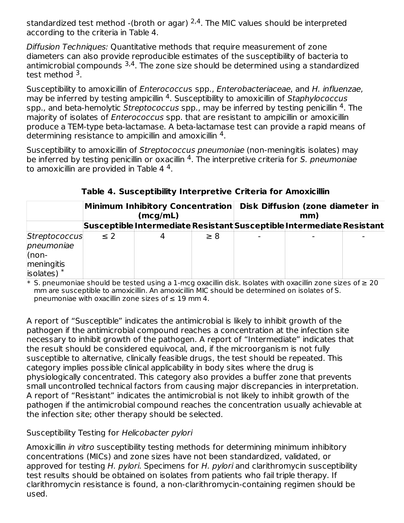standardized test method -(broth or agar)  $2.4$ . The MIC values should be interpreted according to the criteria in Table 4.

Diffusion Techniques: Quantitative methods that require measurement of zone diameters can also provide reproducible estimates of the susceptibility of bacteria to antimicrobial compounds  $^{3,4}$ . The zone size should be determined using a standardized test method <sup>3</sup>.

Susceptibility to amoxicillin of Enterococcus spp., Enterobacteriaceae, and H. influenzae, may be inferred by testing ampicillin <sup>4</sup>. Susceptibility to amoxicillin of Staphylococcus spp., and beta-hemolytic *Streptococcus* spp., may be inferred by testing penicillin <sup>4</sup>. The majority of isolates of Enterococcus spp. that are resistant to ampicillin or amoxicillin produce a TEM-type beta-lactamase. A beta-lactamase test can provide a rapid means of determining resistance to ampicillin and amoxicillin  $4$ .

Susceptibility to amoxicillin of Streptococcus pneumoniae (non-meningitis isolates) may be inferred by testing penicillin or oxacillin  $4$ . The interpretive criteria for S. pneumoniae to amoxicillin are provided in Table 4  $4$ .

|                                                                            |          | Minimum Inhibitory Concentration<br>(mcq/mL) |          |  | Disk Diffusion (zone diameter in<br>mm)                               |  |  |
|----------------------------------------------------------------------------|----------|----------------------------------------------|----------|--|-----------------------------------------------------------------------|--|--|
|                                                                            |          |                                              |          |  | Susceptible Intermediate Resistant Susceptible Intermediate Resistant |  |  |
| Streptococcus<br>pneumoniae<br>$ $ (non-<br>meningitis<br>$is$ olates) $*$ | $\leq$ 2 |                                              | $\geq 8$ |  |                                                                       |  |  |

**Table 4. Susceptibility Interpretive Criteria for Amoxicillin**

 $*$  S. pneumoniae should be tested using a 1-mcg oxacillin disk. Isolates with oxacillin zone sizes of  $\geq 20$ mm are susceptible to amoxicillin. An amoxicillin MIC should be determined on isolates of S. pneumoniae with oxacillin zone sizes of  $\leq 19$  mm 4.

A report of "Susceptible" indicates the antimicrobial is likely to inhibit growth of the pathogen if the antimicrobial compound reaches a concentration at the infection site necessary to inhibit growth of the pathogen. A report of "Intermediate" indicates that the result should be considered equivocal, and, if the microorganism is not fully susceptible to alternative, clinically feasible drugs, the test should be repeated. This category implies possible clinical applicability in body sites where the drug is physiologically concentrated. This category also provides a buffer zone that prevents small uncontrolled technical factors from causing major discrepancies in interpretation. A report of "Resistant" indicates the antimicrobial is not likely to inhibit growth of the pathogen if the antimicrobial compound reaches the concentration usually achievable at the infection site; other therapy should be selected.

# Susceptibility Testing for Helicobacter pylori

Amoxicillin *in vitro* susceptibility testing methods for determining minimum inhibitory concentrations (MICs) and zone sizes have not been standardized, validated, or approved for testing H. pylori. Specimens for H. pylori and clarithromycin susceptibility test results should be obtained on isolates from patients who fail triple therapy. If clarithromycin resistance is found, a non-clarithromycin-containing regimen should be used.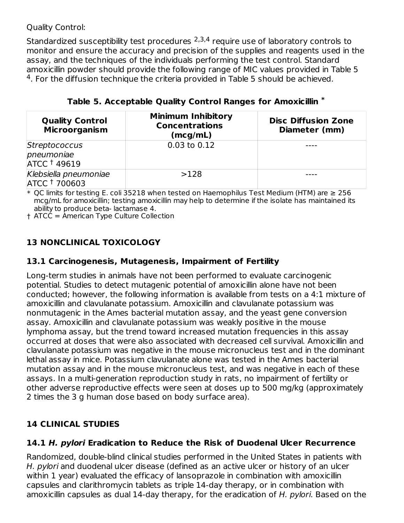### Quality Control:

Standardized susceptibility test procedures  $2,3,4$  require use of laboratory controls to monitor and ensure the accuracy and precision of the supplies and reagents used in the assay, and the techniques of the individuals performing the test control. Standard amoxicillin powder should provide the following range of MIC values provided in Table 5  $4.$  For the diffusion technique the criteria provided in Table 5 should be achieved.

**Table 5. Acceptable Quality Control Ranges for Amoxicillin \***

| <b>Quality Control</b><br><b>Microorganism</b>         | <b>Minimum Inhibitory</b><br><b>Concentrations</b><br>(mcg/mL) | <b>Disc Diffusion Zone</b><br>Diameter (mm) |  |  |
|--------------------------------------------------------|----------------------------------------------------------------|---------------------------------------------|--|--|
| Streptococcus<br>pneumoniae<br>ATCC <sup>†</sup> 49619 | 0.03 to 0.12                                                   |                                             |  |  |
| Klebsiella pneumoniae<br>ATCC <sup>†</sup> 700603      | >128                                                           |                                             |  |  |

\* QC limits for testing E. coli 35218 when tested on Haemophilus Test Medium (HTM) are ≥ 256 mcg/mL for amoxicillin; testing amoxicillin may help to determine if the isolate has maintained its ability to produce beta- lactamase 4.

† ATCC = American Type Culture Collection

# **13 NONCLINICAL TOXICOLOGY**

# **13.1 Carcinogenesis, Mutagenesis, Impairment of Fertility**

Long-term studies in animals have not been performed to evaluate carcinogenic potential. Studies to detect mutagenic potential of amoxicillin alone have not been conducted; however, the following information is available from tests on a 4:1 mixture of amoxicillin and clavulanate potassium. Amoxicillin and clavulanate potassium was nonmutagenic in the Ames bacterial mutation assay, and the yeast gene conversion assay. Amoxicillin and clavulanate potassium was weakly positive in the mouse lymphoma assay, but the trend toward increased mutation frequencies in this assay occurred at doses that were also associated with decreased cell survival. Amoxicillin and clavulanate potassium was negative in the mouse micronucleus test and in the dominant lethal assay in mice. Potassium clavulanate alone was tested in the Ames bacterial mutation assay and in the mouse micronucleus test, and was negative in each of these assays. In a multi-generation reproduction study in rats, no impairment of fertility or other adverse reproductive effects were seen at doses up to 500 mg/kg (approximately 2 times the 3 g human dose based on body surface area).

# **14 CLINICAL STUDIES**

# **14.1 H. pylori Eradication to Reduce the Risk of Duodenal Ulcer Recurrence**

Randomized, double-blind clinical studies performed in the United States in patients with H. pylori and duodenal ulcer disease (defined as an active ulcer or history of an ulcer within 1 year) evaluated the efficacy of lansoprazole in combination with amoxicillin capsules and clarithromycin tablets as triple 14-day therapy, or in combination with amoxicillin capsules as dual 14-day therapy, for the eradication of H. pylori. Based on the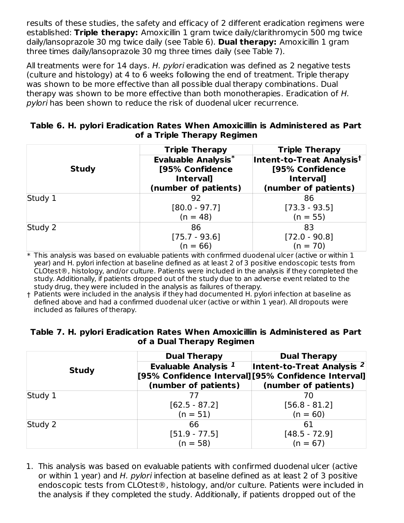results of these studies, the safety and efficacy of 2 different eradication regimens were established: **Triple therapy:** Amoxicillin 1 gram twice daily/clarithromycin 500 mg twice daily/lansoprazole 30 mg twice daily (see Table 6). **Dual therapy:** Amoxicillin 1 gram three times daily/lansoprazole 30 mg three times daily (see Table 7).

All treatments were for 14 days. H. pylori eradication was defined as 2 negative tests (culture and histology) at 4 to 6 weeks following the end of treatment. Triple therapy was shown to be more effective than all possible dual therapy combinations. Dual therapy was shown to be more effective than both monotherapies. Eradication of H. pylori has been shown to reduce the risk of duodenal ulcer recurrence.

|  |  |                             | Table 6. H. pylori Eradication Rates When Amoxicillin is Administered as Part |  |
|--|--|-----------------------------|-------------------------------------------------------------------------------|--|
|  |  | of a Triple Therapy Regimen |                                                                               |  |

| <b>Study</b> | <b>Triple Therapy</b><br><b>Evaluable Analysis*</b><br>[95% Confidence<br>Interval]<br>(number of patients) | <b>Triple Therapy</b><br>Intent-to-Treat Analysis <sup>t</sup><br>[95% Confidence<br>Interval]<br>(number of patients) |  |  |
|--------------|-------------------------------------------------------------------------------------------------------------|------------------------------------------------------------------------------------------------------------------------|--|--|
| Study 1      | 92<br>$[80.0 - 97.7]$<br>$(n = 48)$                                                                         | 86<br>$[73.3 - 93.5]$<br>$(n = 55)$                                                                                    |  |  |
| Study 2      | 86<br>$[75.7 - 93.6]$<br>$(n = 66)$                                                                         | 83<br>$[72.0 - 90.8]$<br>$(n = 70)$                                                                                    |  |  |

 $\ast$  This analysis was based on evaluable patients with confirmed duodenal ulcer (active or within  $1$ year) and H. pylori infection at baseline defined as at least 2 of 3 positive endoscopic tests from CLOtest®, histology, and/or culture. Patients were included in the analysis if they completed the study. Additionally, if patients dropped out of the study due to an adverse event related to the study drug, they were included in the analysis as failures of therapy.

† Patients were included in the analysis if they had documented H. pylori infection at baseline as defined above and had a confirmed duodenal ulcer (active or within 1 year). All dropouts were included as failures of therapy.

| Table 7. H. pylori Eradication Rates When Amoxicillin is Administered as Part |                           |  |  |
|-------------------------------------------------------------------------------|---------------------------|--|--|
|                                                                               | of a Dual Therapy Regimen |  |  |

|              | <b>Dual Therapy</b>                                     | <b>Dual Therapy</b>                                                                                             |  |
|--------------|---------------------------------------------------------|-----------------------------------------------------------------------------------------------------------------|--|
| <b>Study</b> | Evaluable Analysis <sup>1</sup><br>(number of patients) | $ $ Intent-to-Treat Analysis $2 $<br>[95% Confidence Interval][95% Confidence Interval]<br>(number of patients) |  |
| Study 1      | $[62.5 - 87.2]$<br>$(n = 51)$                           | 70<br>$[56.8 - 81.2]$<br>$(n = 60)$                                                                             |  |
| Study 2      | 66<br>$[51.9 - 77.5]$<br>$(n = 58)$                     | 61<br>$[48.5 - 72.9]$<br>$(n = 67)$                                                                             |  |

1. This analysis was based on evaluable patients with confirmed duodenal ulcer (active or within 1 year) and H. pylori infection at baseline defined as at least 2 of 3 positive endoscopic tests from CLOtest®, histology, and/or culture. Patients were included in the analysis if they completed the study. Additionally, if patients dropped out of the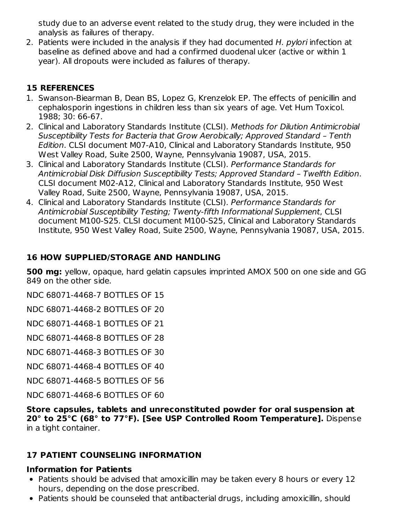study due to an adverse event related to the study drug, they were included in the analysis as failures of therapy.

2. Patients were included in the analysis if they had documented H. pylori infection at baseline as defined above and had a confirmed duodenal ulcer (active or within 1 year). All dropouts were included as failures of therapy.

# **15 REFERENCES**

- 1. Swanson-Biearman B, Dean BS, Lopez G, Krenzelok EP. The effects of penicillin and cephalosporin ingestions in children less than six years of age. Vet Hum Toxicol. 1988; 30: 66-67.
- 2. Clinical and Laboratory Standards Institute (CLSI). Methods for Dilution Antimicrobial Susceptibility Tests for Bacteria that Grow Aerobically; Approved Standard – Tenth Edition. CLSI document M07-A10, Clinical and Laboratory Standards Institute, 950 West Valley Road, Suite 2500, Wayne, Pennsylvania 19087, USA, 2015.
- 3. Clinical and Laboratory Standards Institute (CLSI). Performance Standards for Antimicrobial Disk Diffusion Susceptibility Tests; Approved Standard – Twelfth Edition. CLSI document M02-A12, Clinical and Laboratory Standards Institute, 950 West Valley Road, Suite 2500, Wayne, Pennsylvania 19087, USA, 2015.
- 4. Clinical and Laboratory Standards Institute (CLSI). Performance Standards for Antimicrobial Susceptibility Testing; Twenty-fifth Informational Supplement, CLSI document M100-S25. CLSI document M100-S25, Clinical and Laboratory Standards Institute, 950 West Valley Road, Suite 2500, Wayne, Pennsylvania 19087, USA, 2015.

# **16 HOW SUPPLIED/STORAGE AND HANDLING**

**500 mg:** yellow, opaque, hard gelatin capsules imprinted AMOX 500 on one side and GG 849 on the other side.

NDC 68071-4468-7 BOTTLES OF 15

NDC 68071-4468-2 BOTTLES OF 20

NDC 68071-4468-1 BOTTLES OF 21

NDC 68071-4468-8 BOTTLES OF 28

NDC 68071-4468-3 BOTTLES OF 30

NDC 68071-4468-4 BOTTLES OF 40

NDC 68071-4468-5 BOTTLES OF 56

NDC 68071-4468-6 BOTTLES OF 60

**Store capsules, tablets and unreconstituted powder for oral suspension at 20° to 25°C (68° to 77°F). [See USP Controlled Room Temperature].** Dispense in a tight container.

# **17 PATIENT COUNSELING INFORMATION**

# **Information for Patients**

- Patients should be advised that amoxicillin may be taken every 8 hours or every 12 hours, depending on the dose prescribed.
- $\bullet$  Patients should be counseled that antibacterial drugs, including amoxicillin, should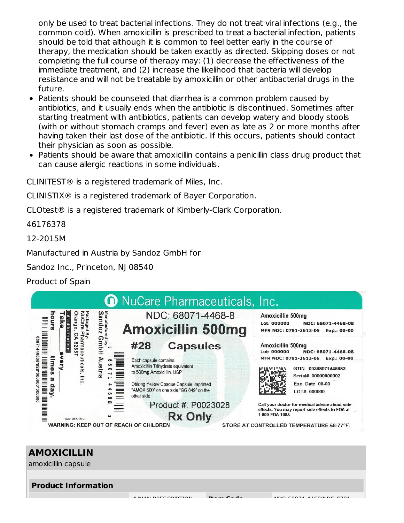only be used to treat bacterial infections. They do not treat viral infections (e.g., the common cold). When amoxicillin is prescribed to treat a bacterial infection, patients should be told that although it is common to feel better early in the course of therapy, the medication should be taken exactly as directed. Skipping doses or not completing the full course of therapy may: (1) decrease the effectiveness of the immediate treatment, and (2) increase the likelihood that bacteria will develop resistance and will not be treatable by amoxicillin or other antibacterial drugs in the future.

- Patients should be counseled that diarrhea is a common problem caused by antibiotics, and it usually ends when the antibiotic is discontinued. Sometimes after starting treatment with antibiotics, patients can develop watery and bloody stools (with or without stomach cramps and fever) even as late as 2 or more months after having taken their last dose of the antibiotic. If this occurs, patients should contact their physician as soon as possible.
- Patients should be aware that amoxicillin contains a penicillin class drug product that can cause allergic reactions in some individuals.

CLINITEST® is a registered trademark of Miles, Inc.

CLINISTIX® is a registered trademark of Bayer Corporation.

CLOtest® is a registered trademark of Kimberly-Clark Corporation.

46176378

12-2015M

Manufactured in Austria by Sandoz GmbH for

Sandoz Inc., Princeton, NJ 08540

Product of Spain



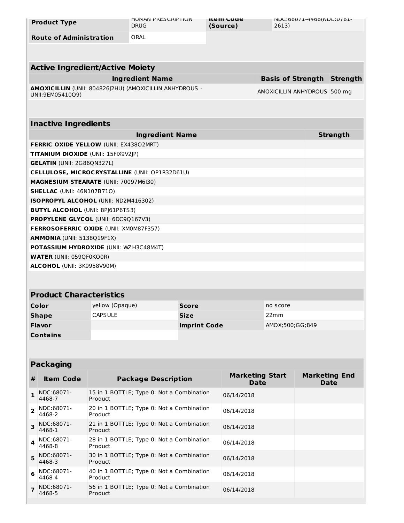| <b>Product Type</b>                                                         | <b>MUMAIN PRESCRIPTION</b><br>DRUG   | <b>Rem Code</b><br>(Source) | 2613)                        | INDC:00071-4400(INDC:0701-        |                 |
|-----------------------------------------------------------------------------|--------------------------------------|-----------------------------|------------------------------|-----------------------------------|-----------------|
| <b>Route of Administration</b>                                              | ORAL                                 |                             |                              |                                   |                 |
|                                                                             |                                      |                             |                              |                                   |                 |
| <b>Active Ingredient/Active Moiety</b>                                      |                                      |                             |                              |                                   |                 |
|                                                                             | <b>Ingredient Name</b>               |                             |                              | <b>Basis of Strength Strength</b> |                 |
| AMOXICILLIN (UNII: 804826 2HU) (AMOXICILLIN ANHYDROUS -<br>UNII:9EM05410Q9) |                                      |                             | AMOXICILLIN ANHYDROUS 500 mg |                                   |                 |
|                                                                             |                                      |                             |                              |                                   |                 |
| <b>Inactive Ingredients</b>                                                 |                                      |                             |                              |                                   |                 |
|                                                                             | <b>Ingredient Name</b>               |                             |                              |                                   | <b>Strength</b> |
| FERRIC OXIDE YELLOW (UNII: EX43802MRT)                                      |                                      |                             |                              |                                   |                 |
| <b>TITANIUM DIOXIDE (UNII: 15FIX9V2JP)</b>                                  |                                      |                             |                              |                                   |                 |
| <b>GELATIN (UNII: 2G86QN327L)</b>                                           |                                      |                             |                              |                                   |                 |
| CELLULOSE, MICROCRYSTALLINE (UNII: OP1R32D61U)                              |                                      |                             |                              |                                   |                 |
| MAGNESIUM STEARATE (UNII: 70097M6I30)                                       |                                      |                             |                              |                                   |                 |
| <b>SHELLAC (UNII: 46N107B710)</b>                                           |                                      |                             |                              |                                   |                 |
|                                                                             | ISOPROPYL ALCOHOL (UNII: ND2M416302) |                             |                              |                                   |                 |
| <b>BUTYL ALCOHOL (UNII: 8PJ61P6TS3)</b>                                     |                                      |                             |                              |                                   |                 |
| <b>PROPYLENE GLYCOL (UNII: 6DC90167V3)</b>                                  |                                      |                             |                              |                                   |                 |
| <b>FERROSOFERRIC OXIDE (UNII: XM0M87F357)</b>                               |                                      |                             |                              |                                   |                 |
| AMMONIA (UNII: 5138019F1X)                                                  |                                      |                             |                              |                                   |                 |
| <b>POTASSIUM HYDROXIDE (UNII: WZH3C48M4T)</b>                               |                                      |                             |                              |                                   |                 |
| <b>WATER (UNII: 059QF0KO0R)</b>                                             |                                      |                             |                              |                                   |                 |
| ALCOHOL (UNII: 3K9958V90M)                                                  |                                      |                             |                              |                                   |                 |
|                                                                             |                                      |                             |                              |                                   |                 |

#### **Product Characteristics**

| Color           | yellow (Opaque) | <b>Score</b>        | no score        |
|-----------------|-----------------|---------------------|-----------------|
| <b>Shape</b>    | <b>CAPSULE</b>  | <b>Size</b>         | 22mm            |
| <b>Flavor</b>   |                 | <b>Imprint Code</b> | AMOX;500;GG;849 |
| <b>Contains</b> |                 |                     |                 |

# **Packaging**

| #                       | <b>Item Code</b>       | <b>Package Description</b>                           | <b>Marketing Start</b><br><b>Date</b> | <b>Marketing End</b><br><b>Date</b> |
|-------------------------|------------------------|------------------------------------------------------|---------------------------------------|-------------------------------------|
|                         | NDC:68071-<br>4468-7   | 15 in 1 BOTTLE; Type 0: Not a Combination<br>Product | 06/14/2018                            |                                     |
| $\overline{z}$          | NDC:68071-<br>4468-2   | 20 in 1 BOTTLE; Type 0: Not a Combination<br>Product | 06/14/2018                            |                                     |
| $\overline{\mathbf{z}}$ | NDC:68071-<br>4468-1   | 21 in 1 BOTTLE; Type 0: Not a Combination<br>Product | 06/14/2018                            |                                     |
| 4                       | NDC:68071-<br>4468-8   | 28 in 1 BOTTLE; Type 0: Not a Combination<br>Product | 06/14/2018                            |                                     |
| 5.                      | $NDC:68071-$<br>4468-3 | 30 in 1 BOTTLE; Type 0: Not a Combination<br>Product | 06/14/2018                            |                                     |
| 6                       | NDC:68071-<br>4468-4   | 40 in 1 BOTTLE; Type 0: Not a Combination<br>Product | 06/14/2018                            |                                     |
|                         | NDC:68071-<br>4468-5   | 56 in 1 BOTTLE; Type 0: Not a Combination<br>Product | 06/14/2018                            |                                     |